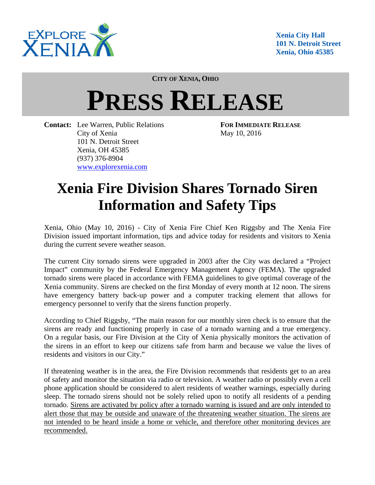

**Xenia City Hall 101 N. Detroit Street Xenia, Ohio 45385** 

**CITY OF XENIA, OHIO**

## **PRESS RELEASE**

**Contact:** Lee Warren, Public Relations **FOR IMMEDIATE RELEASE** City of Xenia May 10, 2016 101 N. Detroit Street Xenia, OH 45385 (937) 376-8904 www.explorexenia.com

## **Xenia Fire Division Shares Tornado Siren Information and Safety Tips**

Xenia, Ohio (May 10, 2016) - City of Xenia Fire Chief Ken Riggsby and The Xenia Fire Division issued important information, tips and advice today for residents and visitors to Xenia during the current severe weather season.

The current City tornado sirens were upgraded in 2003 after the City was declared a "Project Impact" community by the Federal Emergency Management Agency (FEMA). The upgraded tornado sirens were placed in accordance with FEMA guidelines to give optimal coverage of the Xenia community. Sirens are checked on the first Monday of every month at 12 noon. The sirens have emergency battery back-up power and a computer tracking element that allows for emergency personnel to verify that the sirens function properly.

According to Chief Riggsby, "The main reason for our monthly siren check is to ensure that the sirens are ready and functioning properly in case of a tornado warning and a true emergency. On a regular basis, our Fire Division at the City of Xenia physically monitors the activation of the sirens in an effort to keep our citizens safe from harm and because we value the lives of residents and visitors in our City."

If threatening weather is in the area, the Fire Division recommends that residents get to an area of safety and monitor the situation via radio or television. A weather radio or possibly even a cell phone application should be considered to alert residents of weather warnings, especially during sleep. The tornado sirens should not be solely relied upon to notify all residents of a pending tornado. Sirens are activated by policy after a tornado warning is issued and are only intended to alert those that may be outside and unaware of the threatening weather situation. The sirens are not intended to be heard inside a home or vehicle, and therefore other monitoring devices are recommended.